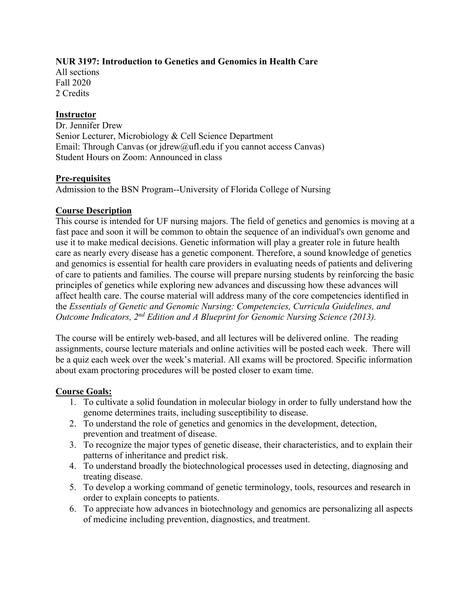# **NUR 3197: Introduction to Genetics and Genomics in Health Care**

All sections Fall 2020 2 Credits

### **Instructor**

Dr. Jennifer Drew Senior Lecturer, Microbiology & Cell Science Department Email: Through Canvas (or jdrew@ufl.edu if you cannot access Canvas) Student Hours on Zoom: Announced in class

### **Pre-requisites**

Admission to the BSN Program--University of Florida College of Nursing

### **Course Description**

This course is intended for UF nursing majors. The field of genetics and genomics is moving at a fast pace and soon it will be common to obtain the sequence of an individual's own genome and use it to make medical decisions. Genetic information will play a greater role in future health care as nearly every disease has a genetic component. Therefore, a sound knowledge of genetics and genomics is essential for health care providers in evaluating needs of patients and delivering of care to patients and families. The course will prepare nursing students by reinforcing the basic principles of genetics while exploring new advances and discussing how these advances will affect health care. The course material will address many of the core competencies identified in the *Essentials of Genetic and Genomic Nursing: Competencies, Curricula Guidelines, and Outcome Indicators, 2nd Edition and A Blueprint for Genomic Nursing Science (2013).*

The course will be entirely web-based, and all lectures will be delivered online. The reading assignments, course lecture materials and online activities will be posted each week. There will be a quiz each week over the week's material. All exams will be proctored. Specific information about exam proctoring procedures will be posted closer to exam time.

# **Course Goals:**

- 1. To cultivate a solid foundation in molecular biology in order to fully understand how the genome determines traits, including susceptibility to disease.
- 2. To understand the role of genetics and genomics in the development, detection, prevention and treatment of disease.
- 3. To recognize the major types of genetic disease, their characteristics, and to explain their patterns of inheritance and predict risk.
- 4. To understand broadly the biotechnological processes used in detecting, diagnosing and treating disease.
- 5. To develop a working command of genetic terminology, tools, resources and research in order to explain concepts to patients.
- 6. To appreciate how advances in biotechnology and genomics are personalizing all aspects of medicine including prevention, diagnostics, and treatment.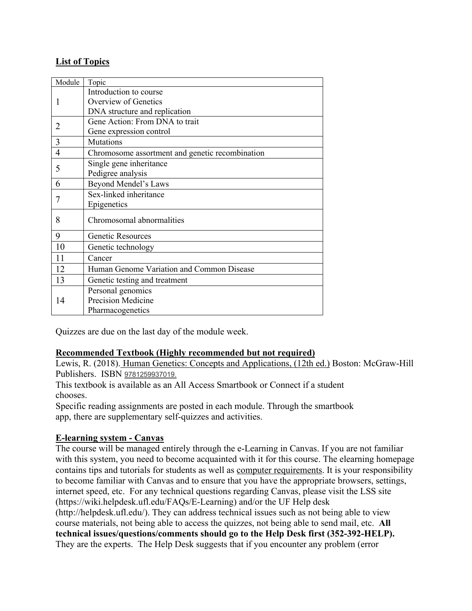# **List of Topics**

| Module         | Topic                                           |
|----------------|-------------------------------------------------|
| 1              | Introduction to course                          |
|                | Overview of Genetics                            |
|                | DNA structure and replication                   |
| 2              | Gene Action: From DNA to trait                  |
|                | Gene expression control                         |
| 3              | Mutations                                       |
| $\overline{4}$ | Chromosome assortment and genetic recombination |
| 5              | Single gene inheritance                         |
|                | Pedigree analysis                               |
| 6              | Beyond Mendel's Laws                            |
|                | Sex-linked inheritance                          |
|                | Epigenetics                                     |
| 8              | Chromosomal abnormalities                       |
| 9              | Genetic Resources                               |
| 10             | Genetic technology                              |
| 11             | Cancer                                          |
| 12             | Human Genome Variation and Common Disease       |
| 13             | Genetic testing and treatment                   |
| 14             | Personal genomics                               |
|                | Precision Medicine                              |
|                | Pharmacogenetics                                |

Quizzes are due on the last day of the module week.

# **Recommended Textbook (Highly recommended but not required)**

Lewis, R. (2018). Human Genetics: Concepts and Applications, (12th ed.) Boston: McGraw-Hill Publishers. ISBN 9781259937019.

This textbook is available as an All Access Smartbook or Connect if a student chooses.

Specific reading assignments are posted in each module. Through the smartbook app, there are supplementary self-quizzes and activities.

# **E-learning system - Canvas**

The course will be managed entirely through the e-Learning in Canvas. If you are not familiar with this system, you need to become acquainted with it for this course. The elearning homepage contains tips and tutorials for students as well as computer requirements. It is your responsibility to become familiar with Canvas and to ensure that you have the appropriate browsers, settings, internet speed, etc. For any technical questions regarding Canvas, please visit the LSS site (https://wiki.helpdesk.ufl.edu/FAQs/E-Learning) and/or the UF Help desk (http://helpdesk.ufl.edu/). They can address technical issues such as not being able to view course materials, not being able to access the quizzes, not being able to send mail, etc. **All technical issues/questions/comments should go to the Help Desk first (352-392-HELP).** They are the experts. The Help Desk suggests that if you encounter any problem (error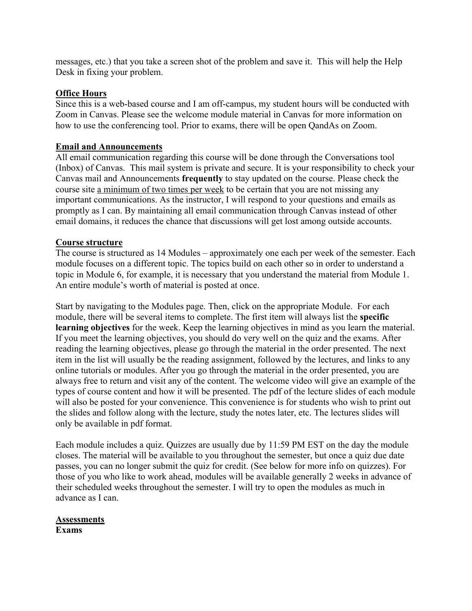messages, etc.) that you take a screen shot of the problem and save it. This will help the Help Desk in fixing your problem.

### **Office Hours**

Since this is a web-based course and I am off-campus, my student hours will be conducted with Zoom in Canvas. Please see the welcome module material in Canvas for more information on how to use the conferencing tool. Prior to exams, there will be open QandAs on Zoom.

### **Email and Announcements**

All email communication regarding this course will be done through the Conversations tool (Inbox) of Canvas. This mail system is private and secure. It is your responsibility to check your Canvas mail and Announcements **frequently** to stay updated on the course. Please check the course site a minimum of two times per week to be certain that you are not missing any important communications. As the instructor, I will respond to your questions and emails as promptly as I can. By maintaining all email communication through Canvas instead of other email domains, it reduces the chance that discussions will get lost among outside accounts.

### **Course structure**

The course is structured as 14 Modules – approximately one each per week of the semester. Each module focuses on a different topic. The topics build on each other so in order to understand a topic in Module 6, for example, it is necessary that you understand the material from Module 1. An entire module's worth of material is posted at once.

Start by navigating to the Modules page. Then, click on the appropriate Module. For each module, there will be several items to complete. The first item will always list the **specific learning objectives** for the week. Keep the learning objectives in mind as you learn the material. If you meet the learning objectives, you should do very well on the quiz and the exams. After reading the learning objectives, please go through the material in the order presented. The next item in the list will usually be the reading assignment, followed by the lectures, and links to any online tutorials or modules. After you go through the material in the order presented, you are always free to return and visit any of the content. The welcome video will give an example of the types of course content and how it will be presented. The pdf of the lecture slides of each module will also be posted for your convenience. This convenience is for students who wish to print out the slides and follow along with the lecture, study the notes later, etc. The lectures slides will only be available in pdf format.

Each module includes a quiz. Quizzes are usually due by 11:59 PM EST on the day the module closes. The material will be available to you throughout the semester, but once a quiz due date passes, you can no longer submit the quiz for credit. (See below for more info on quizzes). For those of you who like to work ahead, modules will be available generally 2 weeks in advance of their scheduled weeks throughout the semester. I will try to open the modules as much in advance as I can.

#### **Assessments Exams**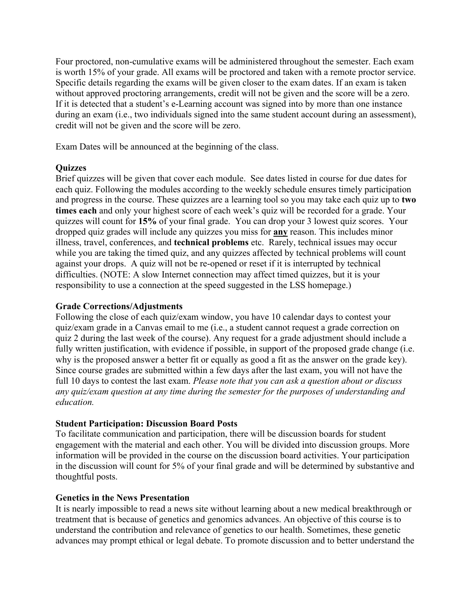Four proctored, non-cumulative exams will be administered throughout the semester. Each exam is worth 15% of your grade. All exams will be proctored and taken with a remote proctor service. Specific details regarding the exams will be given closer to the exam dates. If an exam is taken without approved proctoring arrangements, credit will not be given and the score will be a zero. If it is detected that a student's e-Learning account was signed into by more than one instance during an exam (i.e., two individuals signed into the same student account during an assessment), credit will not be given and the score will be zero.

Exam Dates will be announced at the beginning of the class.

# **Quizzes**

Brief quizzes will be given that cover each module. See dates listed in course for due dates for each quiz. Following the modules according to the weekly schedule ensures timely participation and progress in the course. These quizzes are a learning tool so you may take each quiz up to **two times each** and only your highest score of each week's quiz will be recorded for a grade. Your quizzes will count for **15%** of your final grade. You can drop your 3 lowest quiz scores. Your dropped quiz grades will include any quizzes you miss for **any** reason. This includes minor illness, travel, conferences, and **technical problems** etc. Rarely, technical issues may occur while you are taking the timed quiz, and any quizzes affected by technical problems will count against your drops. A quiz will not be re-opened or reset if it is interrupted by technical difficulties. (NOTE: A slow Internet connection may affect timed quizzes, but it is your responsibility to use a connection at the speed suggested in the LSS homepage.)

#### **Grade Corrections/Adjustments**

Following the close of each quiz/exam window, you have 10 calendar days to contest your quiz/exam grade in a Canvas email to me (i.e., a student cannot request a grade correction on quiz 2 during the last week of the course). Any request for a grade adjustment should include a fully written justification, with evidence if possible, in support of the proposed grade change (i.e. why is the proposed answer a better fit or equally as good a fit as the answer on the grade key). Since course grades are submitted within a few days after the last exam, you will not have the full 10 days to contest the last exam. *Please note that you can ask a question about or discuss any quiz/exam question at any time during the semester for the purposes of understanding and education.* 

# **Student Participation: Discussion Board Posts**

To facilitate communication and participation, there will be discussion boards for student engagement with the material and each other. You will be divided into discussion groups. More information will be provided in the course on the discussion board activities. Your participation in the discussion will count for 5% of your final grade and will be determined by substantive and thoughtful posts.

# **Genetics in the News Presentation**

It is nearly impossible to read a news site without learning about a new medical breakthrough or treatment that is because of genetics and genomics advances. An objective of this course is to understand the contribution and relevance of genetics to our health. Sometimes, these genetic advances may prompt ethical or legal debate. To promote discussion and to better understand the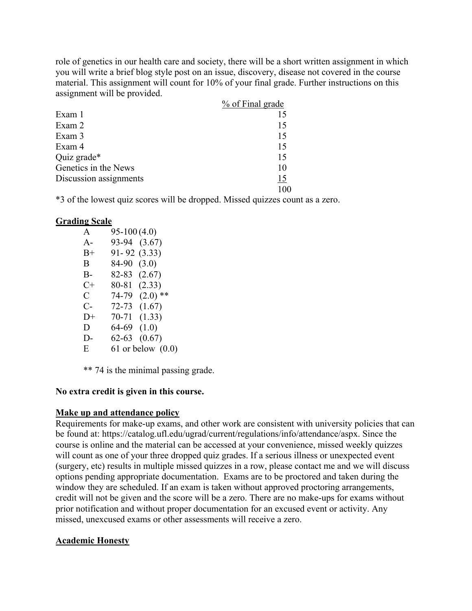role of genetics in our health care and society, there will be a short written assignment in which you will write a brief blog style post on an issue, discovery, disease not covered in the course material. This assignment will count for 10% of your final grade. Further instructions on this assignment will be provided.

|                        | % of Final grade |
|------------------------|------------------|
| Exam 1                 |                  |
| Exam 2                 | 15               |
| Exam 3                 | 15               |
| Exam 4                 | 15               |
| Quiz grade*            | 15               |
| Genetics in the News   | 10               |
| Discussion assignments | 15               |
|                        |                  |

\*3 of the lowest quiz scores will be dropped. Missed quizzes count as a zero.

#### **Grading Scale**

| A           | $95-100(4.0)$ |                       |
|-------------|---------------|-----------------------|
| $A -$       | 93-94         | (3.67)                |
| $_{\rm B+}$ | 91-92         | (3.33)                |
| Β           | 84-90         | (3.0)                 |
| $B -$       | 82-83         | (2.67)                |
| $C +$       | 80-81         | (2.33)                |
| C           | 74-79         | $(2.0)$ **            |
| $C-$        | 72-73         | (1.67)                |
| $D+$        | 70-71         | (1.33)                |
| D           | 64-69         | (1.0)                 |
| D-          | 62-63         | (0.67)                |
| Ε           |               | $61$ or below $(0.0)$ |
|             |               |                       |

\*\* 74 is the minimal passing grade.

#### **No extra credit is given in this course.**

#### **Make up and attendance policy**

Requirements for make-up exams, and other work are consistent with university policies that can be found at: https://catalog.ufl.edu/ugrad/current/regulations/info/attendance/aspx. Since the course is online and the material can be accessed at your convenience, missed weekly quizzes will count as one of your three dropped quiz grades. If a serious illness or unexpected event (surgery, etc) results in multiple missed quizzes in a row, please contact me and we will discuss options pending appropriate documentation. Exams are to be proctored and taken during the window they are scheduled. If an exam is taken without approved proctoring arrangements, credit will not be given and the score will be a zero. There are no make-ups for exams without prior notification and without proper documentation for an excused event or activity. Any missed, unexcused exams or other assessments will receive a zero.

#### **Academic Honesty**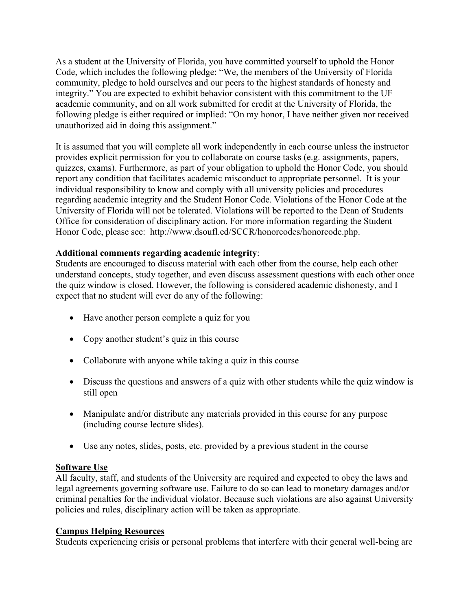As a student at the University of Florida, you have committed yourself to uphold the Honor Code, which includes the following pledge: "We, the members of the University of Florida community, pledge to hold ourselves and our peers to the highest standards of honesty and integrity." You are expected to exhibit behavior consistent with this commitment to the UF academic community, and on all work submitted for credit at the University of Florida, the following pledge is either required or implied: "On my honor, I have neither given nor received unauthorized aid in doing this assignment."

It is assumed that you will complete all work independently in each course unless the instructor provides explicit permission for you to collaborate on course tasks (e.g. assignments, papers, quizzes, exams). Furthermore, as part of your obligation to uphold the Honor Code, you should report any condition that facilitates academic misconduct to appropriate personnel. It is your individual responsibility to know and comply with all university policies and procedures regarding academic integrity and the Student Honor Code. Violations of the Honor Code at the University of Florida will not be tolerated. Violations will be reported to the Dean of Students Office for consideration of disciplinary action. For more information regarding the Student Honor Code, please see: http://www.dsoufl.ed/SCCR/honorcodes/honorcode.php.

# **Additional comments regarding academic integrity**:

Students are encouraged to discuss material with each other from the course, help each other understand concepts, study together, and even discuss assessment questions with each other once the quiz window is closed. However, the following is considered academic dishonesty, and I expect that no student will ever do any of the following:

- Have another person complete a quiz for you
- Copy another student's quiz in this course
- Collaborate with anyone while taking a quiz in this course
- Discuss the questions and answers of a quiz with other students while the quiz window is still open
- Manipulate and/or distribute any materials provided in this course for any purpose (including course lecture slides).
- Use any notes, slides, posts, etc. provided by a previous student in the course

# **Software Use**

All faculty, staff, and students of the University are required and expected to obey the laws and legal agreements governing software use. Failure to do so can lead to monetary damages and/or criminal penalties for the individual violator. Because such violations are also against University policies and rules, disciplinary action will be taken as appropriate.

# **Campus Helping Resources**

Students experiencing crisis or personal problems that interfere with their general well-being are